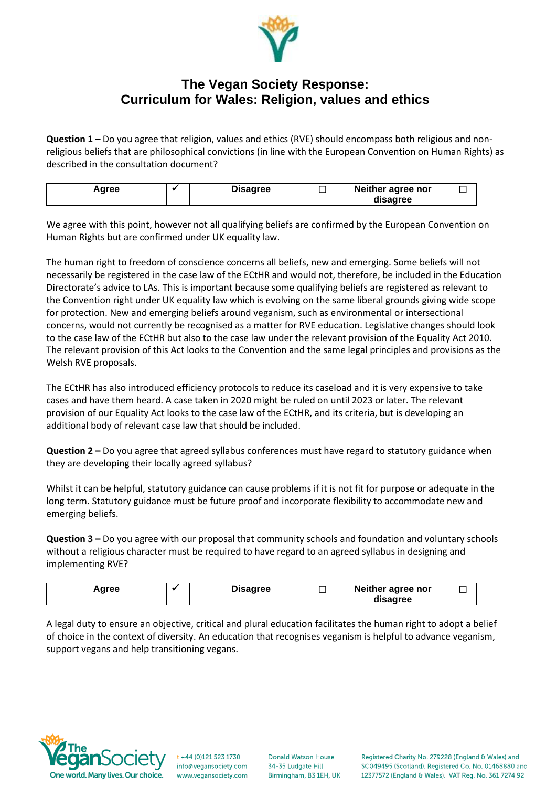

## **The Vegan Society Response: Curriculum for Wales: Religion, values and ethics**

**Question 1 –** Do you agree that religion, values and ethics (RVE) should encompass both religious and nonreligious beliefs that are philosophical convictions (in line with the European Convention on Human Rights) as described in the consultation document?

| <b>aree</b> | aaree | Neither agree nor |  |
|-------------|-------|-------------------|--|
|             |       | lisagree          |  |

We agree with this point, however not all qualifying beliefs are confirmed by the European Convention on Human Rights but are confirmed under UK equality law.

The human right to freedom of conscience concerns all beliefs, new and emerging. Some beliefs will not necessarily be registered in the case law of the ECtHR and would not, therefore, be included in the Education Directorate's advice to LAs. This is important because some qualifying beliefs are registered as relevant to the Convention right under UK equality law which is evolving on the same liberal grounds giving wide scope for protection. New and emerging beliefs around veganism, such as environmental or intersectional concerns, would not currently be recognised as a matter for RVE education. Legislative changes should look to the case law of the ECtHR but also to the case law under the relevant provision of the Equality Act 2010. The relevant provision of this Act looks to the Convention and the same legal principles and provisions as the Welsh RVE proposals.

The ECtHR has also introduced efficiency protocols to reduce its caseload and it is very expensive to take cases and have them heard. A case taken in 2020 might be ruled on until 2023 or later. The relevant provision of our Equality Act looks to the case law of the ECtHR, and its criteria, but is developing an additional body of relevant case law that should be included.

**Question 2 –** Do you agree that agreed syllabus conferences must have regard to statutory guidance when they are developing their locally agreed syllabus?

Whilst it can be helpful, statutory guidance can cause problems if it is not fit for purpose or adequate in the long term. Statutory guidance must be future proof and incorporate flexibility to accommodate new and emerging beliefs.

**Question 3 –** Do you agree with our proposal that community schools and foundation and voluntary schools without a religious character must be required to have regard to an agreed syllabus in designing and implementing RVE?

| Agree | Disagree | Neither agree nor |  |
|-------|----------|-------------------|--|
|       |          | disagree          |  |

A legal duty to ensure an objective, critical and plural education facilitates the human right to adopt a belief of choice in the context of diversity. An education that recognises veganism is helpful to advance veganism, support vegans and help transitioning vegans.



+44 (0)121 523 1730 info@vegansociety.com www.vegansociety.com **Donald Watson House** 34-35 Ludgate Hill Birmingham, B3 1EH, UK Registered Charity No. 279228 (England & Wales) and SC049495 (Scotland). Registered Co. No. 01468880 and 12377572 (England & Wales). VAT Reg. No. 361 7274 92